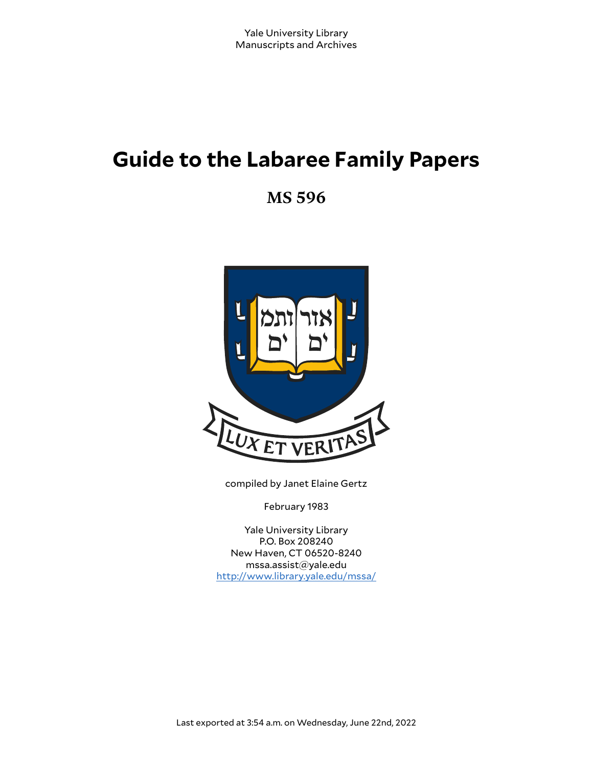# **Guide to the Labaree Family Papers**

**MS 596**



compiled by Janet Elaine Gertz

February 1983

Yale University Library P.O. Box 208240 New Haven, CT 06520-8240 mssa.assist@yale.edu <http://www.library.yale.edu/mssa/>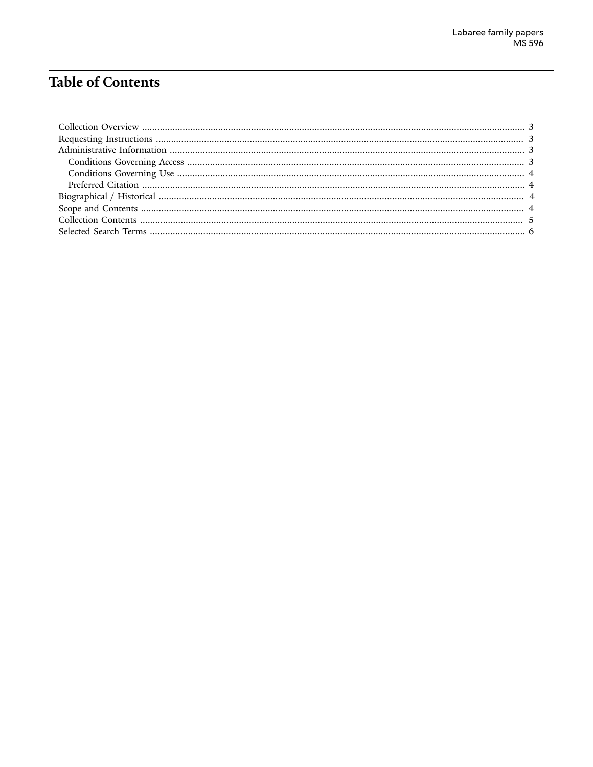## **Table of Contents**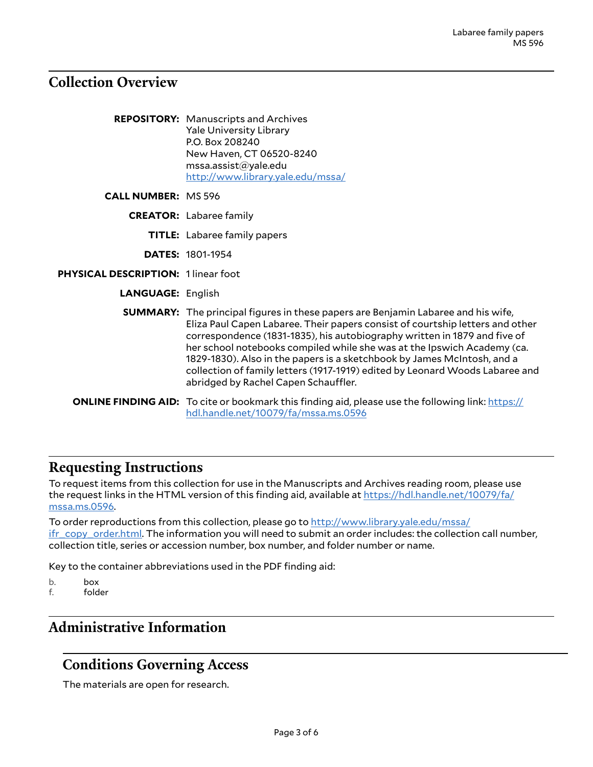### <span id="page-2-0"></span>**Collection Overview**

|                                     | <b>REPOSITORY:</b> Manuscripts and Archives<br><b>Yale University Library</b><br>P.O. Box 208240<br>New Haven, CT 06520-8240<br>msa. assist@yale.edu<br>http://www.library.yale.edu/mssa/                                                                                                                                                                                                                                                                                                                                            |
|-------------------------------------|--------------------------------------------------------------------------------------------------------------------------------------------------------------------------------------------------------------------------------------------------------------------------------------------------------------------------------------------------------------------------------------------------------------------------------------------------------------------------------------------------------------------------------------|
| <b>CALL NUMBER: MS 596</b>          |                                                                                                                                                                                                                                                                                                                                                                                                                                                                                                                                      |
|                                     | <b>CREATOR:</b> Labaree family                                                                                                                                                                                                                                                                                                                                                                                                                                                                                                       |
|                                     | <b>TITLE:</b> Labaree family papers                                                                                                                                                                                                                                                                                                                                                                                                                                                                                                  |
|                                     | <b>DATES: 1801-1954</b>                                                                                                                                                                                                                                                                                                                                                                                                                                                                                                              |
| PHYSICAL DESCRIPTION: 1 linear foot |                                                                                                                                                                                                                                                                                                                                                                                                                                                                                                                                      |
| <b>LANGUAGE: English</b>            |                                                                                                                                                                                                                                                                                                                                                                                                                                                                                                                                      |
|                                     | <b>SUMMARY:</b> The principal figures in these papers are Benjamin Labaree and his wife,<br>Eliza Paul Capen Labaree. Their papers consist of courtship letters and other<br>correspondence (1831-1835), his autobiography written in 1879 and five of<br>her school notebooks compiled while she was at the Ipswich Academy (ca.<br>1829-1830). Also in the papers is a sketchbook by James McIntosh, and a<br>collection of family letters (1917-1919) edited by Leonard Woods Labaree and<br>abridged by Rachel Capen Schauffler. |
|                                     | <b>ONLINE FINDING AID:</b> To cite or bookmark this finding aid, please use the following link: https://<br>hdl.handle.net/10079/fa/mssa.ms.0596                                                                                                                                                                                                                                                                                                                                                                                     |

## <span id="page-2-1"></span>**Requesting Instructions**

To request items from this collection for use in the Manuscripts and Archives reading room, please use the request links in the HTML version of this finding aid, available at [https://hdl.handle.net/10079/fa/](https://hdl.handle.net/10079/fa/mssa.ms.0596) [mssa.ms.0596.](https://hdl.handle.net/10079/fa/mssa.ms.0596)

To order reproductions from this collection, please go to [http://www.library.yale.edu/mssa/](http://www.library.yale.edu/mssa/ifr_copy_order.html) [ifr\\_copy\\_order.html.](http://www.library.yale.edu/mssa/ifr_copy_order.html) The information you will need to submit an order includes: the collection call number, collection title, series or accession number, box number, and folder number or name.

Key to the container abbreviations used in the PDF finding aid:

b. box f. folder

## <span id="page-2-2"></span>**Administrative Information**

#### <span id="page-2-3"></span>**Conditions Governing Access**

The materials are open for research.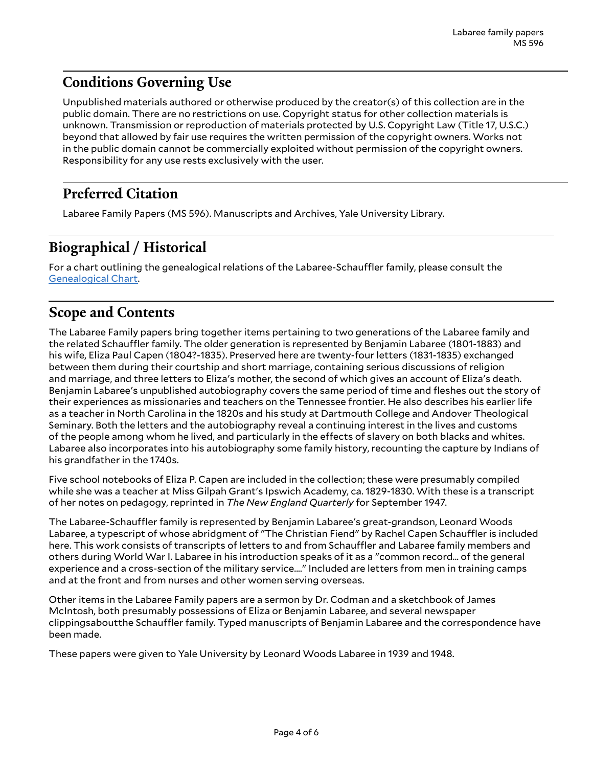## <span id="page-3-0"></span>**Conditions Governing Use**

Unpublished materials authored or otherwise produced by the creator(s) of this collection are in the public domain. There are no restrictions on use. Copyright status for other collection materials is unknown. Transmission or reproduction of materials protected by U.S. Copyright Law (Title 17, U.S.C.) beyond that allowed by fair use requires the written permission of the copyright owners. Works not in the public domain cannot be commercially exploited without permission of the copyright owners. Responsibility for any use rests exclusively with the user.

### <span id="page-3-1"></span>**Preferred Citation**

Labaree Family Papers (MS 596). Manuscripts and Archives, Yale University Library.

## <span id="page-3-2"></span>**Biographical / Historical**

For a chart outlining the genealogical relations of the Labaree-Schauffler family, please consult the [Genealogical](http://mssa.altfindingaids.library.yale.edu/mssa.ms.0596/mssa_ms_0596_genealogical_chart.pdf) Chart.

### <span id="page-3-3"></span>**Scope and Contents**

The Labaree Family papers bring together items pertaining to two generations of the Labaree family and the related Schauffler family. The older generation is represented by Benjamin Labaree (1801-1883) and his wife, Eliza Paul Capen (1804?-1835). Preserved here are twenty-four letters (1831-1835) exchanged between them during their courtship and short marriage, containing serious discussions of religion and marriage, and three letters to Eliza's mother, the second of which gives an account of Eliza's death. Benjamin Labaree's unpublished autobiography covers the same period of time and fleshes out the story of their experiences as missionaries and teachers on the Tennessee frontier. He also describes his earlier life as a teacher in North Carolina in the 1820s and his study at Dartmouth College and Andover Theological Seminary. Both the letters and the autobiography reveal a continuing interest in the lives and customs of the people among whom he lived, and particularly in the effects of slavery on both blacks and whites. Labaree also incorporates into his autobiography some family history, recounting the capture by Indians of his grandfather in the 1740s.

Five school notebooks of Eliza P. Capen are included in the collection; these were presumably compiled while she was a teacher at Miss Gilpah Grant's Ipswich Academy, ca. 1829-1830. With these is a transcript of her notes on pedagogy, reprinted in *The New England Quarterly* for September 1947.

The Labaree-Schauffler family is represented by Benjamin Labaree's great-grandson, Leonard Woods Labaree, a typescript of whose abridgment of "The Christian Fiend" by Rachel Capen Schauffler is included here. This work consists of transcripts of letters to and from Schauffler and Labaree family members and others during World War I. Labaree in his introduction speaks of it as a "common record... of the general experience and a cross-section of the military service...." Included are letters from men in training camps and at the front and from nurses and other women serving overseas.

Other items in the Labaree Family papers are a sermon by Dr. Codman and a sketchbook of James McIntosh, both presumably possessions of Eliza or Benjamin Labaree, and several newspaper clippingsaboutthe Schauffler family. Typed manuscripts of Benjamin Labaree and the correspondence have been made.

These papers were given to Yale University by Leonard Woods Labaree in 1939 and 1948.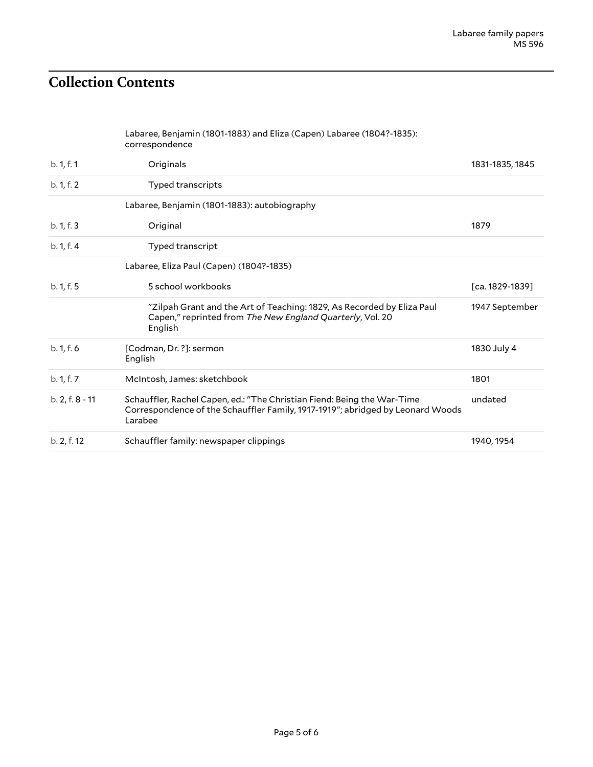## <span id="page-4-0"></span>**Collection Contents**

Labaree, Benjamin (1801-1883) and Eliza (Capen) Labaree (1804?-1835): correspondence

| b. 1, f. 1      | Originals                                                                                                                                                            | 1831-1835, 1845 |
|-----------------|----------------------------------------------------------------------------------------------------------------------------------------------------------------------|-----------------|
| b. 1, f. 2      | Typed transcripts                                                                                                                                                    |                 |
|                 | Labaree, Benjamin (1801-1883): autobiography                                                                                                                         |                 |
| b. 1, f. 3      | Original                                                                                                                                                             | 1879            |
| b. 1, f. 4      | Typed transcript                                                                                                                                                     |                 |
|                 | Labaree, Eliza Paul (Capen) (1804?-1835)                                                                                                                             |                 |
| b. 1, f. 5      | 5 school workbooks                                                                                                                                                   | [ca. 1829-1839] |
|                 | "Zilpah Grant and the Art of Teaching: 1829, As Recorded by Eliza Paul<br>Capen," reprinted from The New England Quarterly, Vol. 20<br>English                       | 1947 September  |
| b. 1, f. 6      | [Codman, Dr. ?]: sermon<br>English                                                                                                                                   | 1830 July 4     |
| b. 1, f. 7      | McIntosh, James: sketchbook                                                                                                                                          | 1801            |
| b. 2, f. 8 - 11 | Schauffler, Rachel Capen, ed.: "The Christian Fiend: Being the War-Time<br>Correspondence of the Schauffler Family, 1917-1919"; abridged by Leonard Woods<br>Larabee | undated         |
| b. 2, f. 12     | Schauffler family: newspaper clippings                                                                                                                               | 1940, 1954      |